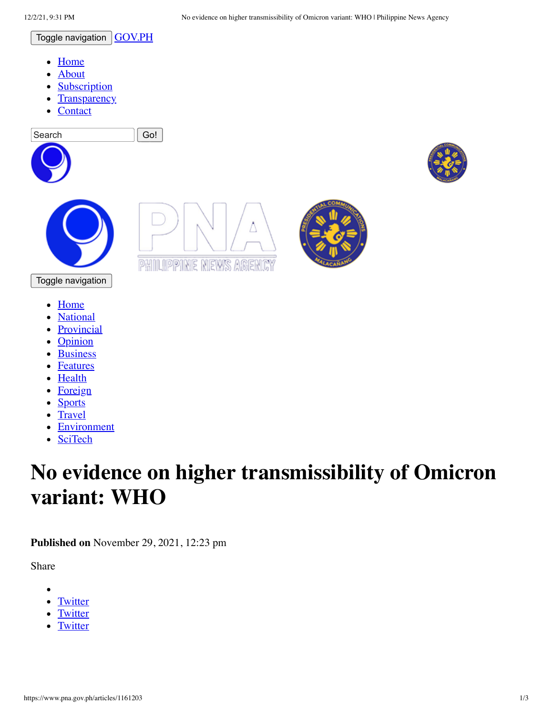Toggle navigation  $\overline{GOV.PH}$  $\overline{GOV.PH}$  $\overline{GOV.PH}$ 

- [Home](https://www.pna.gov.ph/)
- [About](https://www.pna.gov.ph/about)
- **[Subscription](https://www.pna.gov.ph/subscription)**
- **[Transparency](https://www.pna.gov.ph/transparency)**
- **[Contact](https://www.pna.gov.ph/contact)**  $\bullet$



- **[Home](https://www.pna.gov.ph/)**  $\bullet$
- **[National](https://www.pna.gov.ph/categories/national)**
- **[Provincial](https://www.pna.gov.ph/categories/provincial)**
- **[Opinion](https://www.pna.gov.ph/opinion)**
- **[Business](https://www.pna.gov.ph/categories/business)**
- **[Features](https://www.pna.gov.ph/categories/features)**
- **[Health](https://www.pna.gov.ph/categories/health-and-lifestyle)**
- [Foreign](https://www.pna.gov.ph/categories/foreign)
- **[Sports](https://www.pna.gov.ph/categories/sports)**
- **[Travel](https://www.pna.gov.ph/categories/travel-and-tourism)**
- [Environment](https://www.pna.gov.ph/categories/environment)
- **[SciTech](https://www.pna.gov.ph/categories/science-and-technology)**  $\bullet$

## **No evidence on higher transmissibility of Omicron variant: WHO**

**Published on** November 29, 2021, 12:23 pm

Share

- 
- **[Twitter](http://twitter.com/share?url=https://www.pna.gov.ph/articles/1161203)**
- **[Twitter](viber://forward?text=No%20evidence%20on%20higher%20transmissibility%20of%20Omicron%20variant:%20WHO:%20https://www.pna.gov.ph/articles/1161203)**
- **[Twitter](mailto:?subject=[Article]%20No%20evidence%20on%20higher%20transmissibility%20of%20Omicron%20variant:%20WHO&body=Philppine%20News%20Agency%0D%0A%0D%0ANo%20evidence%20on%20higher%20transmissibility%20of%20Omicron%20variant:%20WHO%0D%0Ahttps://www.pna.gov.ph/articles/1161203)**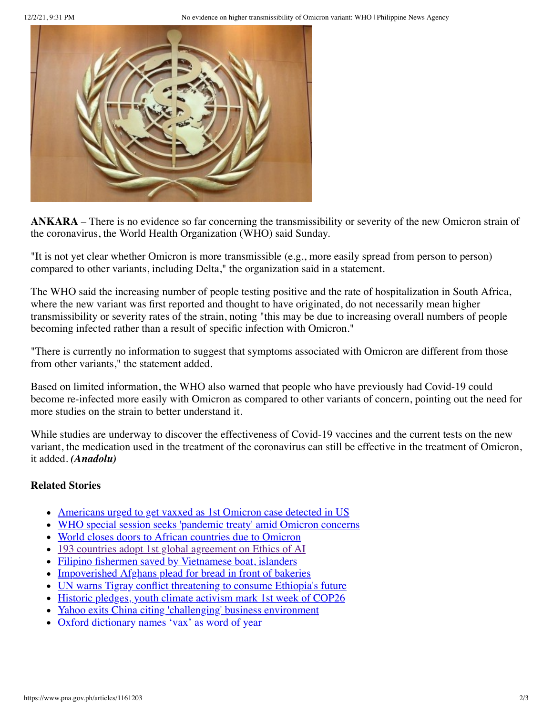

**ANKARA** – There is no evidence so far concerning the transmissibility or severity of the new Omicron strain of the coronavirus, the World Health Organization (WHO) said Sunday.

"It is not yet clear whether Omicron is more transmissible (e.g., more easily spread from person to person) compared to other variants, including Delta," the organization said in a statement.

The WHO said the increasing number of people testing positive and the rate of hospitalization in South Africa, where the new variant was first reported and thought to have originated, do not necessarily mean higher transmissibility or severity rates of the strain, noting "this may be due to increasing overall numbers of people becoming infected rather than a result of specific infection with Omicron."

"There is currently no information to suggest that symptoms associated with Omicron are different from those from other variants," the statement added.

Based on limited information, the WHO also warned that people who have previously had Covid-19 could become re-infected more easily with Omicron as compared to other variants of concern, pointing out the need for more studies on the strain to better understand it.

While studies are underway to discover the effectiveness of Covid-19 vaccines and the current tests on the new variant, the medication used in the treatment of the coronavirus can still be effective in the treatment of Omicron, it added. *(Anadolu)*

## **Related Stories**

- [Americans urged to get vaxxed as 1st Omicron case detected in US](https://www.pna.gov.ph/articles/1161576)
- [WHO special session seeks 'pandemic treaty' amid Omicron concerns](https://www.pna.gov.ph/articles/1161382)
- [World closes doors to African countries due to Omicron](https://www.pna.gov.ph/articles/1161347)
- [193 countries adopt 1st global agreement on Ethics of AI](https://www.pna.gov.ph/articles/1161070)  $\bullet$
- [Filipino fishermen saved by Vietnamese boat, islanders](https://www.pna.gov.ph/articles/1159382)
- [Impoverished Afghans plead for bread in front of bakeries](https://www.pna.gov.ph/articles/1159259)
- [UN warns Tigray conflict threatening to consume Ethiopia's future](https://www.pna.gov.ph/articles/1159193)
- [Historic pledges, youth climate activism mark 1st week of COP26](https://www.pna.gov.ph/articles/1159017)
- [Yahoo exits China citing 'challenging' business environment](https://www.pna.gov.ph/articles/1158617)
- [Oxford dictionary names 'vax' as word of year](https://www.pna.gov.ph/articles/1158449)